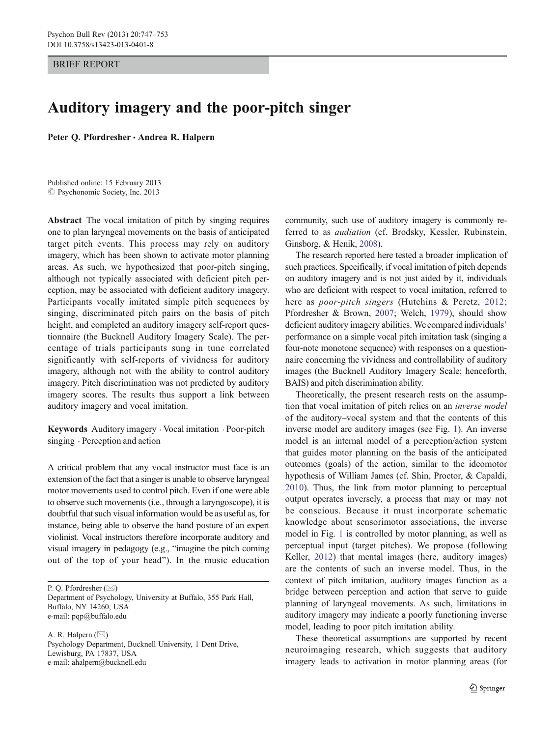# BRIEF REPORT

# Auditory imagery and the poor-pitch singer

Peter Q. Pfordresher · Andrea R. Halpern

Published online: 15 February 2013  $\oslash$  Psychonomic Society, Inc. 2013

Abstract The vocal imitation of pitch by singing requires one to plan laryngeal movements on the basis of anticipated target pitch events. This process may rely on auditory imagery, which has been shown to activate motor planning areas. As such, we hypothesized that poor-pitch singing, although not typically associated with deficient pitch perception, may be associated with deficient auditory imagery. Participants vocally imitated simple pitch sequences by singing, discriminated pitch pairs on the basis of pitch height, and completed an auditory imagery self-report questionnaire (the Bucknell Auditory Imagery Scale). The percentage of trials participants sung in tune correlated significantly with self-reports of vividness for auditory imagery, although not with the ability to control auditory imagery. Pitch discrimination was not predicted by auditory imagery scores. The results thus support a link between auditory imagery and vocal imitation.

Keywords Auditory imagery . Vocal imitation . Poor-pitch singing . Perception and action

A critical problem that any vocal instructor must face is an extension of the fact that a singer is unable to observe laryngeal motor movements used to control pitch. Even if one were able to observe such movements (i.e., through a laryngoscope), it is doubtful that such visual information would be as useful as, for instance, being able to observe the hand posture of an expert violinist. Vocal instructors therefore incorporate auditory and visual imagery in pedagogy (e.g., "imagine the pitch coming out of the top of your head"). In the music education

P. Q. Pfordresher  $(\boxtimes)$ 

Department of Psychology, University at Buffalo, 355 Park Hall, Buffalo, NY 14260, USA e-mail: pqp@buffalo.edu

A. R. Halpern  $(\boxtimes)$ Psychology Department, Bucknell University, 1 Dent Drive, Lewisburg, PA 17837, USA e-mail: ahalpern@bucknell.edu

community, such use of auditory imagery is commonly referred to as audiation (cf. Brodsky, Kessler, Rubinstein, Ginsborg, & Henik, [2008](#page-5-0)).

The research reported here tested a broader implication of such practices. Specifically, if vocal imitation of pitch depends on auditory imagery and is not just aided by it, individuals who are deficient with respect to vocal imitation, referred to here as *poor-pitch singers* (Hutchins & Peretz, [2012;](#page-6-0) Pfordresher & Brown, [2007;](#page-6-0) Welch, [1979](#page-6-0)), should show deficient auditory imagery abilities. We comparedindividuals' performance on a simple vocal pitch imitation task (singing a four-note monotone sequence) with responses on a questionnaire concerning the vividness and controllability of auditory images (the Bucknell Auditory Imagery Scale; henceforth, BAIS) and pitch discrimination ability.

Theoretically, the present research rests on the assumption that vocal imitation of pitch relies on an inverse model of the auditory–vocal system and that the contents of this inverse model are auditory images (see Fig. [1](#page-1-0)). An inverse model is an internal model of a perception/action system that guides motor planning on the basis of the anticipated outcomes (goals) of the action, similar to the ideomotor hypothesis of William James (cf. Shin, Proctor, & Capaldi, [2010](#page-6-0)). Thus, the link from motor planning to perceptual output operates inversely, a process that may or may not be conscious. Because it must incorporate schematic knowledge about sensorimotor associations, the inverse model in Fig. [1](#page-1-0) is controlled by motor planning, as well as perceptual input (target pitches). We propose (following Keller, [2012](#page-6-0)) that mental images (here, auditory images) are the contents of such an inverse model. Thus, in the context of pitch imitation, auditory images function as a bridge between perception and action that serve to guide planning of laryngeal movements. As such, limitations in auditory imagery may indicate a poorly functioning inverse model, leading to poor pitch imitation ability.

These theoretical assumptions are supported by recent neuroimaging research, which suggests that auditory imagery leads to activation in motor planning areas (for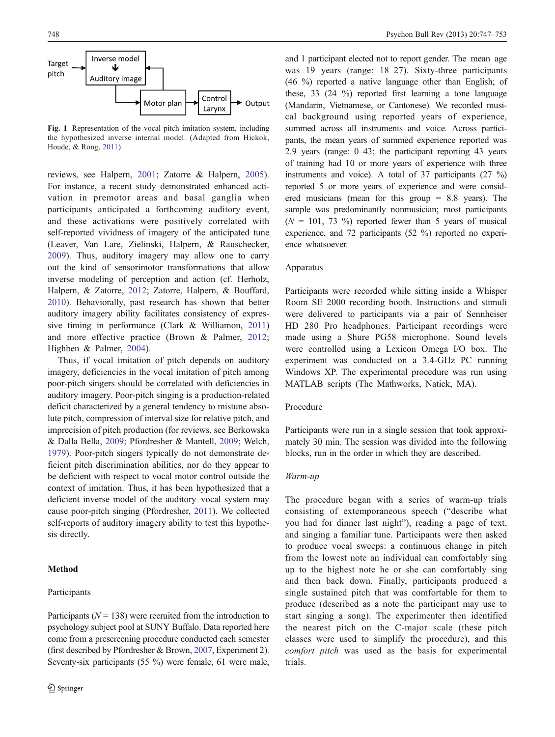<span id="page-1-0"></span>

Fig. 1 Representation of the vocal pitch imitation system, including the hypothesized inverse internal model. (Adapted from Hickok, Houde, & Rong, [2011\)](#page-6-0)

reviews, see Halpern, [2001;](#page-6-0) Zatorre & Halpern, [2005](#page-6-0)). For instance, a recent study demonstrated enhanced activation in premotor areas and basal ganglia when participants anticipated a forthcoming auditory event, and these activations were positively correlated with self-reported vividness of imagery of the anticipated tune (Leaver, Van Lare, Zielinski, Halpern, & Rauschecker, [2009\)](#page-6-0). Thus, auditory imagery may allow one to carry out the kind of sensorimotor transformations that allow inverse modeling of perception and action (cf. Herholz, Halpern, & Zatorre, [2012](#page-6-0); Zatorre, Halpern, & Bouffard, [2010\)](#page-6-0). Behaviorally, past research has shown that better auditory imagery ability facilitates consistency of expressive timing in performance (Clark & Williamon, [2011\)](#page-5-0) and more effective practice (Brown & Palmer, [2012](#page-5-0); Highben & Palmer, [2004](#page-6-0)).

Thus, if vocal imitation of pitch depends on auditory imagery, deficiencies in the vocal imitation of pitch among poor-pitch singers should be correlated with deficiencies in auditory imagery. Poor-pitch singing is a production-related deficit characterized by a general tendency to mistune absolute pitch, compression of interval size for relative pitch, and imprecision of pitch production (for reviews, see Berkowska & Dalla Bella, [2009](#page-5-0); Pfordresher & Mantell, [2009;](#page-6-0) Welch, [1979\)](#page-6-0). Poor-pitch singers typically do not demonstrate deficient pitch discrimination abilities, nor do they appear to be deficient with respect to vocal motor control outside the context of imitation. Thus, it has been hypothesized that a deficient inverse model of the auditory–vocal system may cause poor-pitch singing (Pfordresher, [2011](#page-6-0)). We collected self-reports of auditory imagery ability to test this hypothesis directly.

# Method

# Participants

Participants ( $N = 138$ ) were recruited from the introduction to psychology subject pool at SUNY Buffalo. Data reported here come from a prescreening procedure conducted each semester (first described by Pfordresher & Brown, [2007,](#page-6-0) Experiment 2). Seventy-six participants (55 %) were female, 61 were male, and 1 participant elected not to report gender. The mean age was 19 years (range: 18–27). Sixty-three participants (46 %) reported a native language other than English; of these, 33 (24 %) reported first learning a tone language (Mandarin, Vietnamese, or Cantonese). We recorded musical background using reported years of experience, summed across all instruments and voice. Across participants, the mean years of summed experience reported was 2.9 years (range: 0–43; the participant reporting 43 years of training had 10 or more years of experience with three instruments and voice). A total of 37 participants (27 %) reported 5 or more years of experience and were considered musicians (mean for this group  $= 8.8$  years). The sample was predominantly nonmusician; most participants  $(N = 101, 73 \%)$  reported fewer than 5 years of musical experience, and 72 participants (52 %) reported no experience whatsoever.

#### Apparatus

Participants were recorded while sitting inside a Whisper Room SE 2000 recording booth. Instructions and stimuli were delivered to participants via a pair of Sennheiser HD 280 Pro headphones. Participant recordings were made using a Shure PG58 microphone. Sound levels were controlled using a Lexicon Omega I/O box. The experiment was conducted on a 3.4-GHz PC running Windows XP. The experimental procedure was run using MATLAB scripts (The Mathworks, Natick, MA).

#### Procedure

Participants were run in a single session that took approximately 30 min. The session was divided into the following blocks, run in the order in which they are described.

# Warm-up

The procedure began with a series of warm-up trials consisting of extemporaneous speech ("describe what you had for dinner last night"), reading a page of text, and singing a familiar tune. Participants were then asked to produce vocal sweeps: a continuous change in pitch from the lowest note an individual can comfortably sing up to the highest note he or she can comfortably sing and then back down. Finally, participants produced a single sustained pitch that was comfortable for them to produce (described as a note the participant may use to start singing a song). The experimenter then identified the nearest pitch on the C-major scale (these pitch classes were used to simplify the procedure), and this comfort pitch was used as the basis for experimental trials.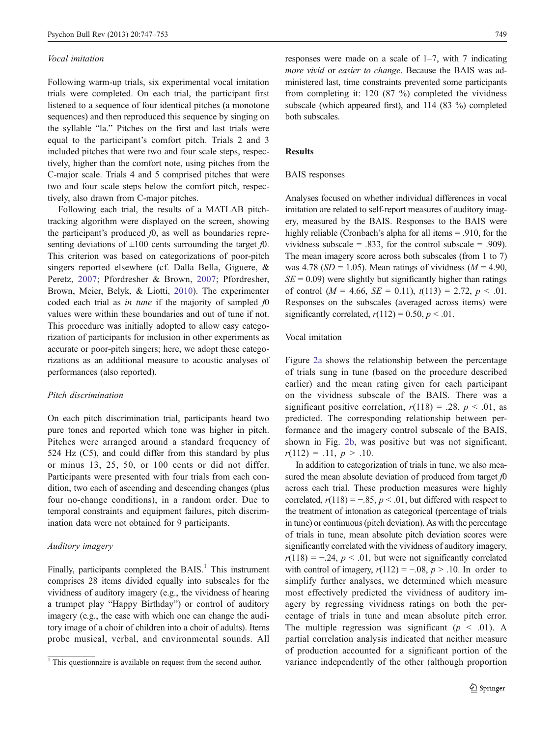#### Vocal imitation

Following warm-up trials, six experimental vocal imitation trials were completed. On each trial, the participant first listened to a sequence of four identical pitches (a monotone sequences) and then reproduced this sequence by singing on the syllable "la." Pitches on the first and last trials were equal to the participant's comfort pitch. Trials 2 and 3 included pitches that were two and four scale steps, respectively, higher than the comfort note, using pitches from the C-major scale. Trials 4 and 5 comprised pitches that were two and four scale steps below the comfort pitch, respectively, also drawn from C-major pitches.

Following each trial, the results of a MATLAB pitchtracking algorithm were displayed on the screen, showing the participant's produced  $f_0$ , as well as boundaries representing deviations of  $\pm 100$  cents surrounding the target f0. This criterion was based on categorizations of poor-pitch singers reported elsewhere (cf. Dalla Bella, Giguere, & Peretz, [2007](#page-5-0); Pfordresher & Brown, [2007;](#page-6-0) Pfordresher, Brown, Meier, Belyk, & Liotti, [2010\)](#page-6-0). The experimenter coded each trial as in tune if the majority of sampled  $f(0)$ values were within these boundaries and out of tune if not. This procedure was initially adopted to allow easy categorization of participants for inclusion in other experiments as accurate or poor-pitch singers; here, we adopt these categorizations as an additional measure to acoustic analyses of performances (also reported).

#### Pitch discrimination

On each pitch discrimination trial, participants heard two pure tones and reported which tone was higher in pitch. Pitches were arranged around a standard frequency of 524 Hz (C5), and could differ from this standard by plus or minus 13, 25, 50, or 100 cents or did not differ. Participants were presented with four trials from each condition, two each of ascending and descending changes (plus four no-change conditions), in a random order. Due to temporal constraints and equipment failures, pitch discrimination data were not obtained for 9 participants.

# Auditory imagery

Finally, participants completed the BAIS. $<sup>1</sup>$  This instrument</sup> comprises 28 items divided equally into subscales for the vividness of auditory imagery (e.g., the vividness of hearing a trumpet play "Happy Birthday") or control of auditory imagery (e.g., the ease with which one can change the auditory image of a choir of children into a choir of adults). Items probe musical, verbal, and environmental sounds. All responses were made on a scale of 1–7, with 7 indicating more vivid or easier to change. Because the BAIS was administered last, time constraints prevented some participants from completing it: 120 (87 %) completed the vividness subscale (which appeared first), and 114 (83 %) completed both subscales.

# Results

#### BAIS responses

Analyses focused on whether individual differences in vocal imitation are related to self-report measures of auditory imagery, measured by the BAIS. Responses to the BAIS were highly reliable (Cronbach's alpha for all items = .910, for the vividness subscale =  $.833$ , for the control subscale =  $.909$ ). The mean imagery score across both subscales (from 1 to 7) was 4.78 ( $SD = 1.05$ ). Mean ratings of vividness ( $M = 4.90$ ,  $SE = 0.09$ ) were slightly but significantly higher than ratings of control ( $M = 4.66$ ,  $SE = 0.11$ ),  $t(113) = 2.72$ ,  $p < .01$ . Responses on the subscales (averaged across items) were significantly correlated,  $r(112) = 0.50, p < .01$ .

# Vocal imitation

Figure [2a](#page-3-0) shows the relationship between the percentage of trials sung in tune (based on the procedure described earlier) and the mean rating given for each participant on the vividness subscale of the BAIS. There was a significant positive correlation,  $r(118) = .28$ ,  $p < .01$ , as predicted. The corresponding relationship between performance and the imagery control subscale of the BAIS, shown in Fig. [2b](#page-3-0), was positive but was not significant,  $r(112) = .11, p > .10.$ 

In addition to categorization of trials in tune, we also measured the mean absolute deviation of produced from target  $f_0$ across each trial. These production measures were highly correlated,  $r(118) = -.85$ ,  $p < .01$ , but differed with respect to the treatment of intonation as categorical (percentage of trials in tune) or continuous (pitch deviation). As with the percentage of trials in tune, mean absolute pitch deviation scores were significantly correlated with the vividness of auditory imagery,  $r(118) = -.24$ ,  $p < .01$ , but were not significantly correlated with control of imagery,  $r(112) = -.08$ ,  $p > .10$ . In order to simplify further analyses, we determined which measure most effectively predicted the vividness of auditory imagery by regressing vividness ratings on both the percentage of trials in tune and mean absolute pitch error. The multiple regression was significant ( $p \leq .01$ ). A partial correlation analysis indicated that neither measure of production accounted for a significant portion of the <sup>1</sup> This questionnaire is available on request from the second author. variance independently of the other (although proportion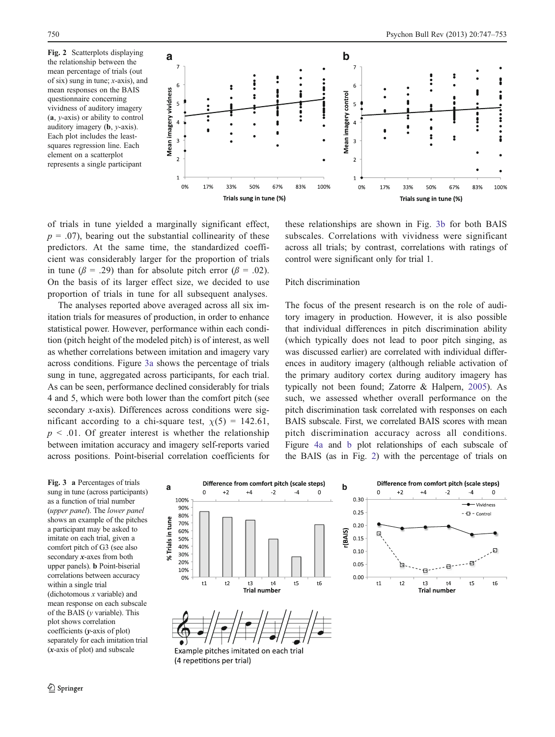the relationship between the mean percentage of trials (out of six) sung in tune; x-axis), and mean responses on the BAIS questionnaire concerning vividness of auditory imagery (a, y-axis) or ability to control auditory imagery (b, y-axis). Each plot includes the leastsquares regression line. Each element on a scatterplot represents a single participant

<span id="page-3-0"></span>

of trials in tune yielded a marginally significant effect,  $p = .07$ ), bearing out the substantial collinearity of these predictors. At the same time, the standardized coefficient was considerably larger for the proportion of trials in tune ( $\beta$  = .29) than for absolute pitch error ( $\beta$  = .02). On the basis of its larger effect size, we decided to use proportion of trials in tune for all subsequent analyses.

The analyses reported above averaged across all six imitation trials for measures of production, in order to enhance statistical power. However, performance within each condition (pitch height of the modeled pitch) is of interest, as well as whether correlations between imitation and imagery vary across conditions. Figure 3a shows the percentage of trials sung in tune, aggregated across participants, for each trial. As can be seen, performance declined considerably for trials 4 and 5, which were both lower than the comfort pitch (see secondary x-axis). Differences across conditions were significant according to a chi-square test,  $\chi(5) = 142.61$ ,  $p \leq 0.01$ . Of greater interest is whether the relationship between imitation accuracy and imagery self-reports varied across positions. Point-biserial correlation coefficients for these relationships are shown in Fig. 3b for both BAIS subscales. Correlations with vividness were significant across all trials; by contrast, correlations with ratings of control were significant only for trial 1.

#### Pitch discrimination

The focus of the present research is on the role of auditory imagery in production. However, it is also possible that individual differences in pitch discrimination ability (which typically does not lead to poor pitch singing, as was discussed earlier) are correlated with individual differences in auditory imagery (although reliable activation of the primary auditory cortex during auditory imagery has typically not been found; Zatorre & Halpern, [2005\)](#page-6-0). As such, we assessed whether overall performance on the pitch discrimination task correlated with responses on each BAIS subscale. First, we correlated BAIS scores with mean pitch discrimination accuracy across all conditions. Figure [4a](#page-4-0) and [b](#page-4-0) plot relationships of each subscale of the BAIS (as in Fig. 2) with the percentage of trials on

sung in tune (across participants) as a function of trial number (upper panel). The lower panel shows an example of the pitches a participant may be asked to imitate on each trial, given a comfort pitch of G3 (see also secondary  $x$ -axes from both upper panels). b Point-biserial correlations between accuracy within a single trial (dichotomous x variable) and mean response on each subscale of the BAIS  $(y \text{ variable})$ . This plot shows correlation coefficients (y-axis of plot) separately for each imitation trial (x-axis of plot) and subscale

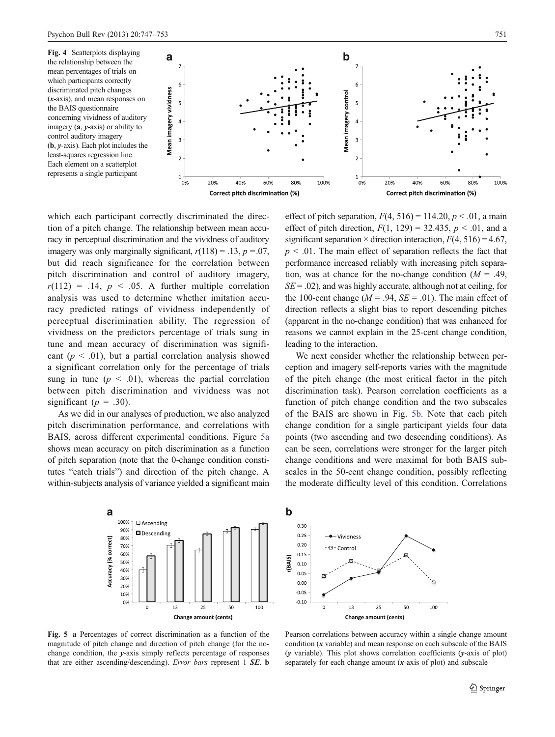mean percentages of trials on which participants correctly discriminated pitch changes (x-axis), and mean responses on the BAIS questionnaire concerning vividness of auditory imagery  $(a, y-axis)$  or ability to control auditory imagery  $(b, y-axis)$ . Each plot includes the least-squares regression line. Each element on a scatterplot represents a single participant

the relationship between the

<span id="page-4-0"></span>

which each participant correctly discriminated the direction of a pitch change. The relationship between mean accuracy in perceptual discrimination and the vividness of auditory imagery was only marginally significant,  $r(118) = .13$ ,  $p = .07$ , but did reach significance for the correlation between pitch discrimination and control of auditory imagery,  $r(112) = .14$ ,  $p < .05$ . A further multiple correlation analysis was used to determine whether imitation accuracy predicted ratings of vividness independently of perceptual discrimination ability. The regression of vividness on the predictors percentage of trials sung in tune and mean accuracy of discrimination was significant ( $p < .01$ ), but a partial correlation analysis showed a significant correlation only for the percentage of trials sung in tune ( $p < .01$ ), whereas the partial correlation between pitch discrimination and vividness was not significant ( $p = .30$ ).

As we did in our analyses of production, we also analyzed pitch discrimination performance, and correlations with BAIS, across different experimental conditions. Figure 5a shows mean accuracy on pitch discrimination as a function of pitch separation (note that the 0-change condition constitutes "catch trials") and direction of the pitch change. A within-subjects analysis of variance yielded a significant main effect of pitch separation,  $F(4, 516) = 114.20, p < 0.01$ , a main effect of pitch direction,  $F(1, 129) = 32.435$ ,  $p < .01$ , and a significant separation  $\times$  direction interaction,  $F(4, 516) = 4.67$ ,  $p \leq 0.01$ . The main effect of separation reflects the fact that performance increased reliably with increasing pitch separation, was at chance for the no-change condition ( $M = .49$ ,  $SE = .02$ ), and was highly accurate, although not at ceiling, for the 100-cent change ( $M = .94$ ,  $SE = .01$ ). The main effect of direction reflects a slight bias to report descending pitches (apparent in the no-change condition) that was enhanced for reasons we cannot explain in the 25-cent change condition, leading to the interaction.

We next consider whether the relationship between perception and imagery self-reports varies with the magnitude of the pitch change (the most critical factor in the pitch discrimination task). Pearson correlation coefficients as a function of pitch change condition and the two subscales of the BAIS are shown in Fig. 5b. Note that each pitch change condition for a single participant yields four data points (two ascending and two descending conditions). As can be seen, correlations were stronger for the larger pitch change conditions and were maximal for both BAIS subscales in the 50-cent change condition, possibly reflecting the moderate difficulty level of this condition. Correlations



 $0.30$  $0.25$ → Vividness  $0.20$ **B** - Control  $0.15$ r(BAIS)  $0.10$  $0.05$  $0.00$ ΪĒ.  $-0.05$  $-0.10$  $\mathbf c$  $13$ 25 50 100 **Change amount (cents)** 

Fig. 5 a Percentages of correct discrimination as a function of the magnitude of pitch change and direction of pitch change (for the nochange condition, the y-axis simply reflects percentage of responses that are either ascending/descending). Error bars represent 1 SE. b

Pearson correlations between accuracy within a single change amount condition  $(x \text{ variable})$  and mean response on each subscale of the BAIS (y variable). This plot shows correlation coefficients (y-axis of plot) separately for each change amount  $(x$ -axis of plot) and subscale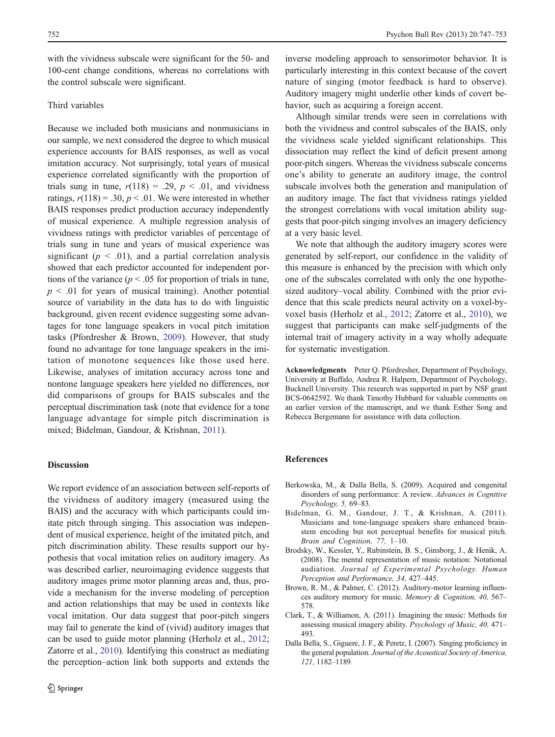<span id="page-5-0"></span>with the vividness subscale were significant for the 50- and 100-cent change conditions, whereas no correlations with the control subscale were significant.

# Third variables

Because we included both musicians and nonmusicians in our sample, we next considered the degree to which musical experience accounts for BAIS responses, as well as vocal imitation accuracy. Not surprisingly, total years of musical experience correlated significantly with the proportion of trials sung in tune,  $r(118) = .29$ ,  $p < .01$ , and vividness ratings,  $r(118) = .30, p < .01$ . We were interested in whether BAIS responses predict production accuracy independently of musical experience. A multiple regression analysis of vividness ratings with predictor variables of percentage of trials sung in tune and years of musical experience was significant ( $p < .01$ ), and a partial correlation analysis showed that each predictor accounted for independent portions of the variance ( $p < .05$  for proportion of trials in tune,  $p \leq 0.01$  for years of musical training). Another potential source of variability in the data has to do with linguistic background, given recent evidence suggesting some advantages for tone language speakers in vocal pitch imitation tasks (Pfordresher & Brown, [2009](#page-6-0)). However, that study found no advantage for tone language speakers in the imitation of monotone sequences like those used here. Likewise, analyses of imitation accuracy across tone and nontone language speakers here yielded no differences, nor did comparisons of groups for BAIS subscales and the perceptual discrimination task (note that evidence for a tone language advantage for simple pitch discrimination is mixed; Bidelman, Gandour, & Krishnan, 2011).

# **Discussion**

We report evidence of an association between self-reports of the vividness of auditory imagery (measured using the BAIS) and the accuracy with which participants could imitate pitch through singing. This association was independent of musical experience, height of the imitated pitch, and pitch discrimination ability. These results support our hypothesis that vocal imitation relies on auditory imagery. As was described earlier, neuroimaging evidence suggests that auditory images prime motor planning areas and, thus, provide a mechanism for the inverse modeling of perception and action relationships that may be used in contexts like vocal imitation. Our data suggest that poor-pitch singers may fail to generate the kind of (vivid) auditory images that can be used to guide motor planning (Herholz et al., [2012](#page-6-0); Zatorre et al., [2010](#page-6-0)). Identifying this construct as mediating the perception–action link both supports and extends the

inverse modeling approach to sensorimotor behavior. It is particularly interesting in this context because of the covert nature of singing (motor feedback is hard to observe). Auditory imagery might underlie other kinds of covert behavior, such as acquiring a foreign accent.

Although similar trends were seen in correlations with both the vividness and control subscales of the BAIS, only the vividness scale yielded significant relationships. This dissociation may reflect the kind of deficit present among poor-pitch singers. Whereas the vividness subscale concerns one's ability to generate an auditory image, the control subscale involves both the generation and manipulation of an auditory image. The fact that vividness ratings yielded the strongest correlations with vocal imitation ability suggests that poor-pitch singing involves an imagery deficiency at a very basic level.

We note that although the auditory imagery scores were generated by self-report, our confidence in the validity of this measure is enhanced by the precision with which only one of the subscales correlated with only the one hypothesized auditory–vocal ability. Combined with the prior evidence that this scale predicts neural activity on a voxel-byvoxel basis (Herholz et al., [2012](#page-6-0); Zatorre et al., [2010\)](#page-6-0), we suggest that participants can make self-judgments of the internal trait of imagery activity in a way wholly adequate for systematic investigation.

Acknowledgments Peter Q. Pfordresher, Department of Psychology, University at Buffalo, Andrea R. Halpern, Department of Psychology, Bucknell University. This research was supported in part by NSF grant BCS-0642592. We thank Timothy Hubbard for valuable comments on an earlier version of the manuscript, and we thank Esther Song and Rebecca Bergemann for assistance with data collection.

#### References

- Berkowska, M., & Dalla Bella, S. (2009). Acquired and congenital disorders of sung performance: A review. Advances in Cognitive Psychology, 5, 69–83.
- Bidelman, G. M., Gandour, J. T., & Krishnan, A. (2011). Musicians and tone-language speakers share enhanced brainstem encoding but not perceptual benefits for musical pitch. Brain and Cognition, 77, 1–10.
- Brodsky, W., Kessler, Y., Rubinstein, B. S., Ginsborg, J., & Henik, A. (2008). The mental representation of music notation: Notational audiation. Journal of Experimental Psychology. Human Perception and Performance, 34, 427–445.
- Brown, R. M., & Palmer, C. (2012). Auditory-motor learning influences auditory memory for music. Memory & Cognition, 40, 567– 578.
- Clark, T., & Williamon, A. (2011). Imagining the music: Methods for assessing musical imagery ability. Psychology of Music, 40, 471– 493.
- Dalla Bella, S., Giguere, J. F., & Peretz, I. (2007). Singing proficiency in the general population. Journal of the Acoustical Society of America, 121, 1182–1189.